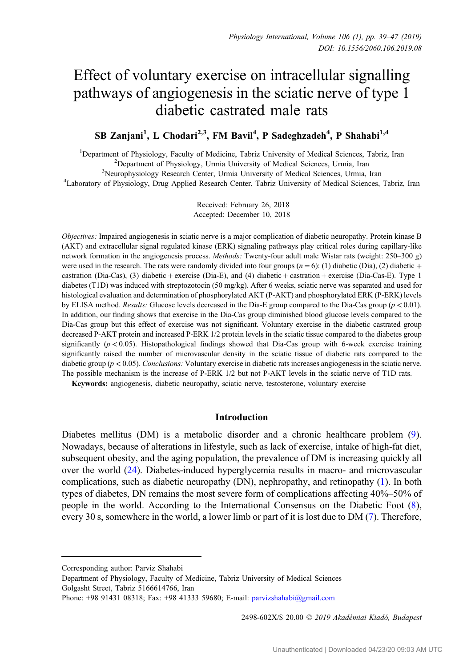# Effect of voluntary exercise on intracellular signalling pathways of angiogenesis in the sciatic nerve of type 1 diabetic castrated male rats

# SB Zanjani<sup>1</sup>, L Chodari<sup>2,3</sup>, FM Bavil<sup>4</sup>, P Sadeghzadeh<sup>4</sup>, P Shahabi<sup>1,4</sup>

<sup>1</sup>Department of Physiology, Faculty of Medicine, Tabriz University of Medical Sciences, Tabriz, Iran <sup>2</sup>Department of Physiology, Urmia University of Medical Sciences, Urmia Jran <sup>2</sup> Department of Physiology, Urmia University of Medical Sciences, Urmia, Iran <sup>3</sup>Neurophysiology Research Center, Urmia University of Medical Sciences, Urmia <sup>2</sup>Neurophysiology Research Center, Urmia University of Medical Sciences, Urmia, Iran <sup>4</sup>Laboratory of Physiology Drug Applied Research Center, Tabriz University of Medical Sciences

Laboratory of Physiology, Drug Applied Research Center, Tabriz University of Medical Sciences, Tabriz, Iran

Received: February 26, 2018 Accepted: December 10, 2018

Objectives: Impaired angiogenesis in sciatic nerve is a major complication of diabetic neuropathy. Protein kinase B (AKT) and extracellular signal regulated kinase (ERK) signaling pathways play critical roles during capillary-like network formation in the angiogenesis process. Methods: Twenty-four adult male Wistar rats (weight: 250–300 g) were used in the research. The rats were randomly divided into four groups  $(n = 6)$ : (1) diabetic (Dia), (2) diabetic + castration (Dia-Cas), (3) diabetic + exercise (Dia-E), and (4) diabetic + castration + exercise (Dia-Cas-E). Type 1 diabetes (T1D) was induced with streptozotocin (50 mg/kg). After 6 weeks, sciatic nerve was separated and used for histological evaluation and determination of phosphorylated AKT (P-AKT) and phosphorylated ERK (P-ERK) levels by ELISA method. Results: Glucose levels decreased in the Dia-E group compared to the Dia-Cas group ( $p < 0.01$ ). In addition, our finding shows that exercise in the Dia-Cas group diminished blood glucose levels compared to the Dia-Cas group but this effect of exercise was not significant. Voluntary exercise in the diabetic castrated group decreased P-AKT protein and increased P-ERK 1/2 protein levels in the sciatic tissue compared to the diabetes group significantly  $(p < 0.05)$ . Histopathological findings showed that Dia-Cas group with 6-week exercise training significantly raised the number of microvascular density in the sciatic tissue of diabetic rats compared to the diabetic group ( $p < 0.05$ ). Conclusions: Voluntary exercise in diabetic rats increases angiogenesis in the sciatic nerve. The possible mechanism is the increase of P-ERK 1/2 but not P-AKT levels in the sciatic nerve of T1D rats.

Keywords: angiogenesis, diabetic neuropathy, sciatic nerve, testosterone, voluntary exercise

## Introduction

Diabetes mellitus (DM) is a metabolic disorder and a chronic healthcare problem [\(9](#page-7-0)). Nowadays, because of alterations in lifestyle, such as lack of exercise, intake of high-fat diet, subsequent obesity, and the aging population, the prevalence of DM is increasing quickly all over the world ([24\)](#page-8-0). Diabetes-induced hyperglycemia results in macro- and microvascular complications, such as diabetic neuropathy (DN), nephropathy, and retinopathy ([1\)](#page-7-0). In both types of diabetes, DN remains the most severe form of complications affecting 40%–50% of people in the world. According to the International Consensus on the Diabetic Foot [\(8](#page-7-0)), every 30 s, somewhere in the world, a lower limb or part of it is lost due to DM ([7\)](#page-7-0). Therefore,

2498-602X/\$ 20.00 © 2019 Akadémiai Kiadó, Budapest

Corresponding author: Parviz Shahabi

Department of Physiology, Faculty of Medicine, Tabriz University of Medical Sciences Golgasht Street, Tabriz 5166614766, Iran

Phone: +98 91431 08318; Fax: +98 41333 59680; E-mail: [parvizshahabi@gmail.com](mailto:parvizshahabi@gmail.com)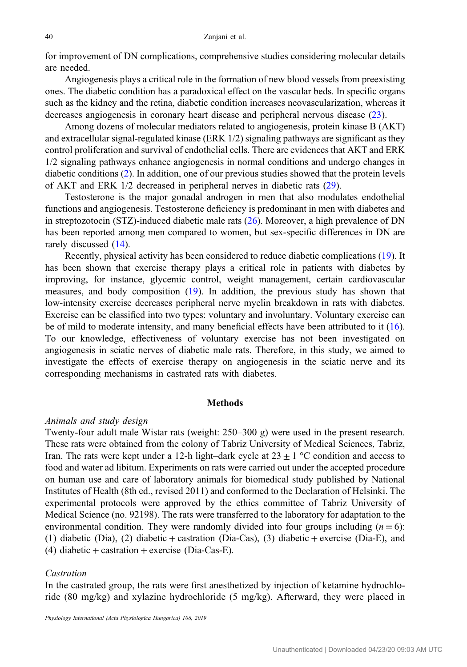for improvement of DN complications, comprehensive studies considering molecular details are needed.

Angiogenesis plays a critical role in the formation of new blood vessels from preexisting ones. The diabetic condition has a paradoxical effect on the vascular beds. In specific organs such as the kidney and the retina, diabetic condition increases neovascularization, whereas it decreases angiogenesis in coronary heart disease and peripheral nervous disease [\(23](#page-8-0)).

Among dozens of molecular mediators related to angiogenesis, protein kinase B (AKT) and extracellular signal-regulated kinase (ERK 1/2) signaling pathways are significant as they control proliferation and survival of endothelial cells. There are evidences that AKT and ERK 1/2 signaling pathways enhance angiogenesis in normal conditions and undergo changes in diabetic conditions [\(2](#page-7-0)). In addition, one of our previous studies showed that the protein levels of AKT and ERK 1/2 decreased in peripheral nerves in diabetic rats ([29\)](#page-8-0).

Testosterone is the major gonadal androgen in men that also modulates endothelial functions and angiogenesis. Testosterone deficiency is predominant in men with diabetes and in streptozotocin (STZ)-induced diabetic male rats [\(26](#page-8-0)). Moreover, a high prevalence of DN has been reported among men compared to women, but sex-specific differences in DN are rarely discussed [\(14](#page-8-0)).

Recently, physical activity has been considered to reduce diabetic complications ([19](#page-8-0)). It has been shown that exercise therapy plays a critical role in patients with diabetes by improving, for instance, glycemic control, weight management, certain cardiovascular measures, and body composition [\(19](#page-8-0)). In addition, the previous study has shown that low-intensity exercise decreases peripheral nerve myelin breakdown in rats with diabetes. Exercise can be classified into two types: voluntary and involuntary. Voluntary exercise can be of mild to moderate intensity, and many beneficial effects have been attributed to it [\(16](#page-8-0)). To our knowledge, effectiveness of voluntary exercise has not been investigated on angiogenesis in sciatic nerves of diabetic male rats. Therefore, in this study, we aimed to investigate the effects of exercise therapy on angiogenesis in the sciatic nerve and its corresponding mechanisms in castrated rats with diabetes.

#### **Methods**

#### Animals and study design

Twenty-four adult male Wistar rats (weight: 250–300 g) were used in the present research. These rats were obtained from the colony of Tabriz University of Medical Sciences, Tabriz, Iran. The rats were kept under a 12-h light–dark cycle at  $23 \pm 1$  °C condition and access to food and water ad libitum. Experiments on rats were carried out under the accepted procedure on human use and care of laboratory animals for biomedical study published by National Institutes of Health (8th ed., revised 2011) and conformed to the Declaration of Helsinki. The experimental protocols were approved by the ethics committee of Tabriz University of Medical Science (no. 92198). The rats were transferred to the laboratory for adaptation to the environmental condition. They were randomly divided into four groups including  $(n = 6)$ : (1) diabetic (Dia), (2) diabetic + castration (Dia-Cas), (3) diabetic + exercise (Dia-E), and  $(4)$  diabetic + castration + exercise (Dia-Cas-E).

# Castration

In the castrated group, the rats were first anesthetized by injection of ketamine hydrochloride (80 mg/kg) and xylazine hydrochloride (5 mg/kg). Afterward, they were placed in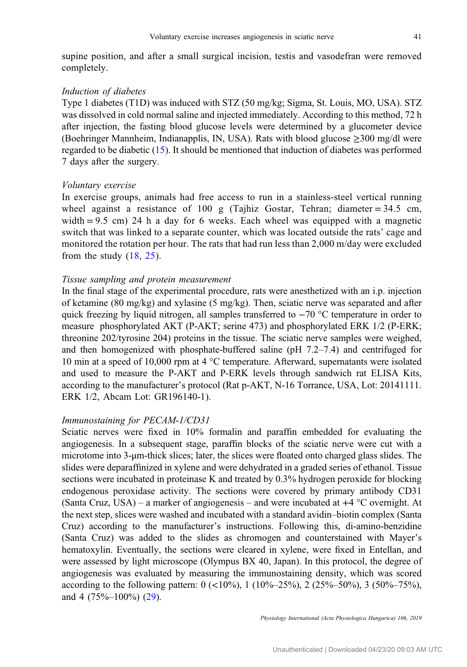supine position, and after a small surgical incision, testis and vasodefran were removed completely.

# Induction of diabetes

Type 1 diabetes (T1D) was induced with STZ (50 mg/kg; Sigma, St. Louis, MO, USA). STZ was dissolved in cold normal saline and injected immediately. According to this method, 72 h after injection, the fasting blood glucose levels were determined by a glucometer device (Boehringer Mannheim, Indianapplis, IN, USA). Rats with blood glucose ≥300 mg/dl were regarded to be diabetic [\(15](#page-8-0)). It should be mentioned that induction of diabetes was performed 7 days after the surgery.

# Voluntary exercise

In exercise groups, animals had free access to run in a stainless-steel vertical running wheel against a resistance of 100 g (Tajhiz Gostar, Tehran; diameter =  $34.5$  cm, width  $= 9.5$  cm) 24 h a day for 6 weeks. Each wheel was equipped with a magnetic switch that was linked to a separate counter, which was located outside the rats' cage and monitored the rotation per hour. The rats that had run less than 2,000 m/day were excluded from the study  $(18, 25)$  $(18, 25)$  $(18, 25)$  $(18, 25)$ .

# Tissue sampling and protein measurement

In the final stage of the experimental procedure, rats were anesthetized with an i.p. injection of ketamine (80 mg/kg) and xylasine (5 mg/kg). Then, sciatic nerve was separated and after quick freezing by liquid nitrogen, all samples transferred to −70 °C temperature in order to measure phosphorylated AKT (P-AKT; serine 473) and phosphorylated ERK 1/2 (P-ERK; threonine 202/tyrosine 204) proteins in the tissue. The sciatic nerve samples were weighed, and then homogenized with phosphate-buffered saline (pH 7.2–7.4) and centrifuged for 10 min at a speed of 10,000 rpm at 4 °C temperature. Afterward, supernatants were isolated and used to measure the P-AKT and P-ERK levels through sandwich rat ELISA Kits, according to the manufacturer's protocol (Rat p-AKT, N-16 Torrance, USA, Lot: 20141111. ERK 1/2, Abcam Lot: GR196140-1).

#### Immunostaining for PECAM-1/CD31

Sciatic nerves were fixed in 10% formalin and paraffin embedded for evaluating the angiogenesis. In a subsequent stage, paraffin blocks of the sciatic nerve were cut with a microtome into 3-μm-thick slices; later, the slices were floated onto charged glass slides. The slides were deparaffinized in xylene and were dehydrated in a graded series of ethanol. Tissue sections were incubated in proteinase K and treated by 0.3% hydrogen peroxide for blocking endogenous peroxidase activity. The sections were covered by primary antibody CD31 (Santa Cruz, USA) – a marker of angiogenesis – and were incubated at +4 °C overnight. At the next step, slices were washed and incubated with a standard avidin–biotin complex (Santa Cruz) according to the manufacturer's instructions. Following this, di-amino-benzidine (Santa Cruz) was added to the slides as chromogen and counterstained with Mayer's hematoxylin. Eventually, the sections were cleared in xylene, were fixed in Entellan, and were assessed by light microscope (Olympus BX 40, Japan). In this protocol, the degree of angiogenesis was evaluated by measuring the immunostaining density, which was scored according to the following pattern:  $0 \leq 10\%$ ,  $1 \leq 10\% - 25\%$ ,  $2 \leq 25\% - 50\%$ ,  $3 \leq 50\% - 75\%$ , and 4 (75%–100%) [\(29](#page-8-0)).

Physiology International (Acta Physiologica Hungarica) 106, 2019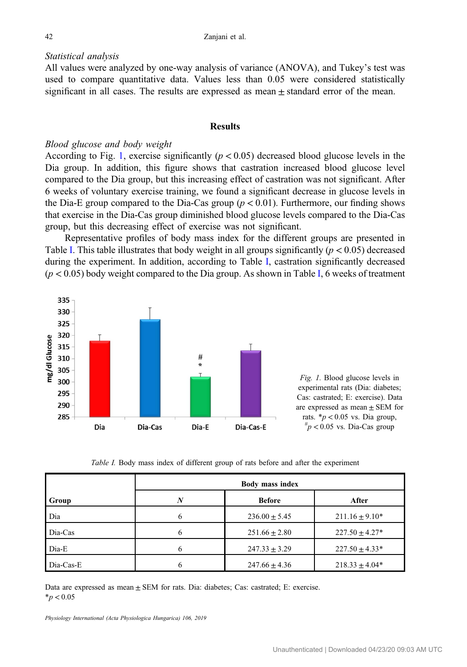#### Statistical analysis

All values were analyzed by one-way analysis of variance (ANOVA), and Tukey's test was used to compare quantitative data. Values less than 0.05 were considered statistically significant in all cases. The results are expressed as mean  $\pm$  standard error of the mean.

# **Results**

#### Blood glucose and body weight

According to Fig. 1, exercise significantly  $(p < 0.05)$  decreased blood glucose levels in the Dia group. In addition, this figure shows that castration increased blood glucose level compared to the Dia group, but this increasing effect of castration was not significant. After 6 weeks of voluntary exercise training, we found a significant decrease in glucose levels in the Dia-E group compared to the Dia-Cas group ( $p < 0.01$ ). Furthermore, our finding shows that exercise in the Dia-Cas group diminished blood glucose levels compared to the Dia-Cas group, but this decreasing effect of exercise was not significant.

Representative profiles of body mass index for the different groups are presented in Table I. This table illustrates that body weight in all groups significantly ( $p < 0.05$ ) decreased during the experiment. In addition, according to Table I, castration significantly decreased  $(p < 0.05)$  body weight compared to the Dia group. As shown in Table I, 6 weeks of treatment



Fig. 1. Blood glucose levels in experimental rats (Dia: diabetes; Cas: castrated; E: exercise). Data are expressed as mean  $\pm$  SEM for rats.  $\frac{*p}{0.05}$  vs. Dia group,  $\mu_p$  < 0.05 vs. Dia-Cas group

Table I. Body mass index of different group of rats before and after the experiment

|           | <b>Body mass index</b> |                   |                     |
|-----------|------------------------|-------------------|---------------------|
| Group     | N                      | <b>Before</b>     | After               |
| Dia       |                        | $236.00 \pm 5.45$ | $211.16 \pm 9.10^*$ |
| Dia-Cas   |                        | $251.66 \pm 2.80$ | $227.50 \pm 4.27*$  |
| Dia-E     |                        | $247.33 \pm 3.29$ | $227.50 \pm 4.33*$  |
| Dia-Cas-E |                        | $247.66 \pm 4.36$ | $218.33 \pm 4.04*$  |

Data are expressed as mean  $\pm$  SEM for rats. Dia: diabetes; Cas: castrated; E: exercise.  $*p < 0.05$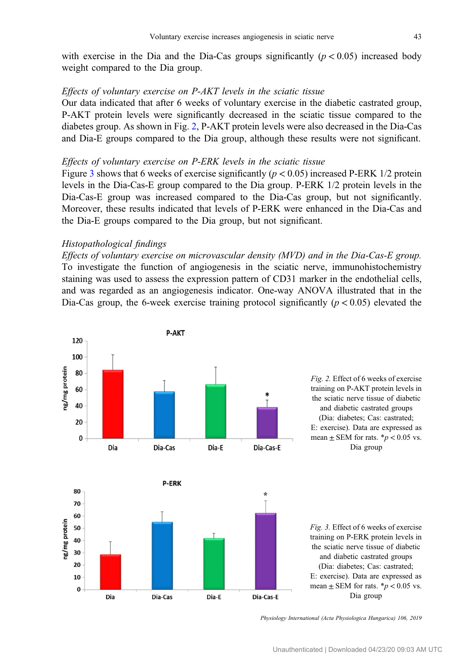with exercise in the Dia and the Dia-Cas groups significantly  $(p < 0.05)$  increased body weight compared to the Dia group.

# Effects of voluntary exercise on P-AKT levels in the sciatic tissue

Our data indicated that after 6 weeks of voluntary exercise in the diabetic castrated group, P-AKT protein levels were significantly decreased in the sciatic tissue compared to the diabetes group. As shown in Fig. 2, P-AKT protein levels were also decreased in the Dia-Cas and Dia-E groups compared to the Dia group, although these results were not significant.

# Effects of voluntary exercise on P-ERK levels in the sciatic tissue

Figure 3 shows that 6 weeks of exercise significantly ( $p < 0.05$ ) increased P-ERK 1/2 protein levels in the Dia-Cas-E group compared to the Dia group. P-ERK 1/2 protein levels in the Dia-Cas-E group was increased compared to the Dia-Cas group, but not significantly. Moreover, these results indicated that levels of P-ERK were enhanced in the Dia-Cas and the Dia-E groups compared to the Dia group, but not significant.

# Histopathological findings

Effects of voluntary exercise on microvascular density (MVD) and in the Dia-Cas-E group. To investigate the function of angiogenesis in the sciatic nerve, immunohistochemistry staining was used to assess the expression pattern of CD31 marker in the endothelial cells, and was regarded as an angiogenesis indicator. One-way ANOVA illustrated that in the Dia-Cas group, the 6-week exercise training protocol significantly ( $p < 0.05$ ) elevated the



Physiology International (Acta Physiologica Hungarica) 106, 2019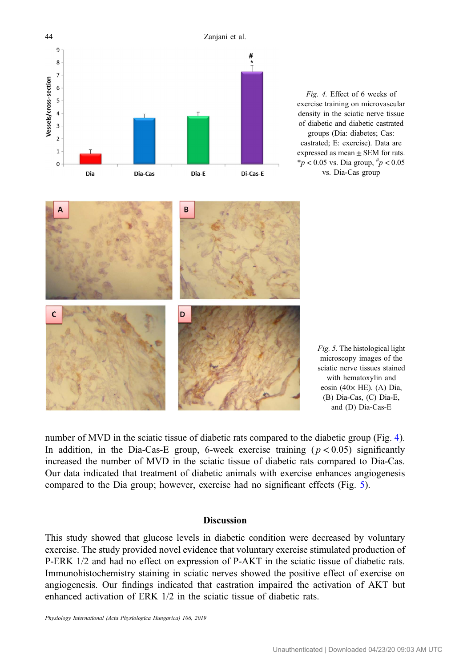

Fig. 4. Effect of 6 weeks of exercise training on microvascular density in the sciatic nerve tissue of diabetic and diabetic castrated groups (Dia: diabetes; Cas: castrated; E: exercise). Data are expressed as mean  $\pm$  SEM for rats.  $*_{p}$  < 0.05 vs. Dia group,  $\frac{h}{p}$  < 0.05 vs. Dia-Cas group

Fig. 5. The histological light microscopy images of the sciatic nerve tissues stained with hematoxylin and eosin (40 $\times$  HE). (A) Dia, (B) Dia-Cas, (C) Dia-E, and (D) Dia-Cas-E

number of MVD in the sciatic tissue of diabetic rats compared to the diabetic group (Fig. 4). In addition, in the Dia-Cas-E group, 6-week exercise training  $(p < 0.05)$  significantly increased the number of MVD in the sciatic tissue of diabetic rats compared to Dia-Cas. Our data indicated that treatment of diabetic animals with exercise enhances angiogenesis compared to the Dia group; however, exercise had no significant effects (Fig. 5).

# **Discussion**

This study showed that glucose levels in diabetic condition were decreased by voluntary exercise. The study provided novel evidence that voluntary exercise stimulated production of P-ERK 1/2 and had no effect on expression of P-AKT in the sciatic tissue of diabetic rats. Immunohistochemistry staining in sciatic nerves showed the positive effect of exercise on angiogenesis. Our findings indicated that castration impaired the activation of AKT but enhanced activation of ERK 1/2 in the sciatic tissue of diabetic rats.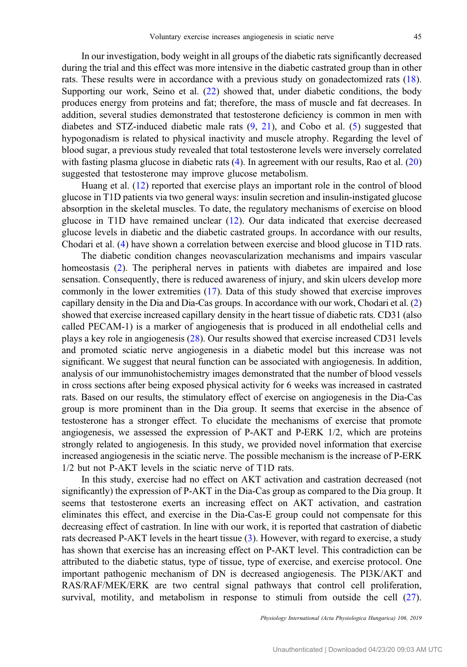In our investigation, body weight in all groups of the diabetic rats significantly decreased during the trial and this effect was more intensive in the diabetic castrated group than in other rats. These results were in accordance with a previous study on gonadectomized rats [\(18](#page-8-0)). Supporting our work, Seino et al. [\(22](#page-8-0)) showed that, under diabetic conditions, the body produces energy from proteins and fat; therefore, the mass of muscle and fat decreases. In addition, several studies demonstrated that testosterone deficiency is common in men with diabetes and STZ-induced diabetic male rats  $(9, 21)$  $(9, 21)$  $(9, 21)$ , and Cobo et al. [\(5](#page-7-0)) suggested that hypogonadism is related to physical inactivity and muscle atrophy. Regarding the level of blood sugar, a previous study revealed that total testosterone levels were inversely correlated with fasting plasma glucose in diabetic rats [\(4](#page-7-0)). In agreement with our results, Rao et al. ([20\)](#page-8-0) suggested that testosterone may improve glucose metabolism.

Huang et al. [\(12](#page-8-0)) reported that exercise plays an important role in the control of blood glucose in T1D patients via two general ways: insulin secretion and insulin-instigated glucose absorption in the skeletal muscles. To date, the regulatory mechanisms of exercise on blood glucose in T1D have remained unclear ([12\)](#page-8-0). Our data indicated that exercise decreased glucose levels in diabetic and the diabetic castrated groups. In accordance with our results, Chodari et al. ([4\)](#page-7-0) have shown a correlation between exercise and blood glucose in T1D rats.

The diabetic condition changes neovascularization mechanisms and impairs vascular homeostasis ([2](#page-7-0)). The peripheral nerves in patients with diabetes are impaired and lose sensation. Consequently, there is reduced awareness of injury, and skin ulcers develop more commonly in the lower extremities [\(17](#page-8-0)). Data of this study showed that exercise improves capillary density in the Dia and Dia-Cas groups. In accordance with our work, Chodari et al. ([2\)](#page-7-0) showed that exercise increased capillary density in the heart tissue of diabetic rats. CD31 (also called PECAM-1) is a marker of angiogenesis that is produced in all endothelial cells and plays a key role in angiogenesis ([28\)](#page-8-0). Our results showed that exercise increased CD31 levels and promoted sciatic nerve angiogenesis in a diabetic model but this increase was not significant. We suggest that neural function can be associated with angiogenesis. In addition, analysis of our immunohistochemistry images demonstrated that the number of blood vessels in cross sections after being exposed physical activity for 6 weeks was increased in castrated rats. Based on our results, the stimulatory effect of exercise on angiogenesis in the Dia-Cas group is more prominent than in the Dia group. It seems that exercise in the absence of testosterone has a stronger effect. To elucidate the mechanisms of exercise that promote angiogenesis, we assessed the expression of P-AKT and P-ERK 1/2, which are proteins strongly related to angiogenesis. In this study, we provided novel information that exercise increased angiogenesis in the sciatic nerve. The possible mechanism is the increase of P-ERK 1/2 but not P-AKT levels in the sciatic nerve of T1D rats.

In this study, exercise had no effect on AKT activation and castration decreased (not significantly) the expression of P-AKT in the Dia-Cas group as compared to the Dia group. It seems that testosterone exerts an increasing effect on AKT activation, and castration eliminates this effect, and exercise in the Dia-Cas-E group could not compensate for this decreasing effect of castration. In line with our work, it is reported that castration of diabetic rats decreased P-AKT levels in the heart tissue ([3\)](#page-7-0). However, with regard to exercise, a study has shown that exercise has an increasing effect on P-AKT level. This contradiction can be attributed to the diabetic status, type of tissue, type of exercise, and exercise protocol. One important pathogenic mechanism of DN is decreased angiogenesis. The PI3K/AKT and RAS/RAF/MEK/ERK are two central signal pathways that control cell proliferation, survival, motility, and metabolism in response to stimuli from outside the cell [\(27](#page-8-0)).

Physiology International (Acta Physiologica Hungarica) 106, 2019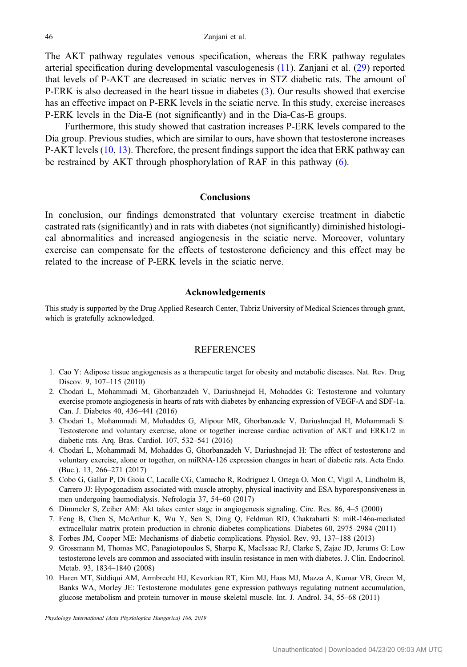<span id="page-7-0"></span>The AKT pathway regulates venous specification, whereas the ERK pathway regulates arterial specification during developmental vasculogenesis ([11\)](#page-8-0). Zanjani et al. ([29\)](#page-8-0) reported that levels of P-AKT are decreased in sciatic nerves in STZ diabetic rats. The amount of P-ERK is also decreased in the heart tissue in diabetes (3). Our results showed that exercise has an effective impact on P-ERK levels in the sciatic nerve. In this study, exercise increases P-ERK levels in the Dia-E (not significantly) and in the Dia-Cas-E groups.

Furthermore, this study showed that castration increases P-ERK levels compared to the Dia group. Previous studies, which are similar to ours, have shown that testosterone increases P-AKT levels (10, [13](#page-8-0)). Therefore, the present findings support the idea that ERK pathway can be restrained by AKT through phosphorylation of RAF in this pathway (6).

#### **Conclusions**

In conclusion, our findings demonstrated that voluntary exercise treatment in diabetic castrated rats (significantly) and in rats with diabetes (not significantly) diminished histological abnormalities and increased angiogenesis in the sciatic nerve. Moreover, voluntary exercise can compensate for the effects of testosterone deficiency and this effect may be related to the increase of P-ERK levels in the sciatic nerve.

# Acknowledgements

This study is supported by the Drug Applied Research Center, Tabriz University of Medical Sciences through grant, which is gratefully acknowledged.

# **REFERENCES**

- 1. Cao Y: Adipose tissue angiogenesis as a therapeutic target for obesity and metabolic diseases. Nat. Rev. Drug Discov. 9, 107–115 (2010)
- 2. Chodari L, Mohammadi M, Ghorbanzadeh V, Dariushnejad H, Mohaddes G: Testosterone and voluntary exercise promote angiogenesis in hearts of rats with diabetes by enhancing expression of VEGF-A and SDF-1a. Can. J. Diabetes 40, 436–441 (2016)
- 3. Chodari L, Mohammadi M, Mohaddes G, Alipour MR, Ghorbanzade V, Dariushnejad H, Mohammadi S: Testosterone and voluntary exercise, alone or together increase cardiac activation of AKT and ERK1/2 in diabetic rats. Arq. Bras. Cardiol. 107, 532–541 (2016)
- 4. Chodari L, Mohammadi M, Mohaddes G, Ghorbanzadeh V, Dariushnejad H: The effect of testosterone and voluntary exercise, alone or together, on miRNA-126 expression changes in heart of diabetic rats. Acta Endo. (Buc.). 13, 266–271 (2017)
- 5. Cobo G, Gallar P, Di Gioia C, Lacalle CG, Camacho R, Rodriguez I, Ortega O, Mon C, Vigil A, Lindholm B, Carrero JJ: Hypogonadism associated with muscle atrophy, physical inactivity and ESA hyporesponsiveness in men undergoing haemodialysis. Nefrologia 37, 54–60 (2017)
- 6. Dimmeler S, Zeiher AM: Akt takes center stage in angiogenesis signaling. Circ. Res. 86, 4–5 (2000)
- 7. Feng B, Chen S, McArthur K, Wu Y, Sen S, Ding Q, Feldman RD, Chakrabarti S: miR-146a-mediated extracellular matrix protein production in chronic diabetes complications. Diabetes 60, 2975–2984 (2011)
- 8. Forbes JM, Cooper ME: Mechanisms of diabetic complications. Physiol. Rev. 93, 137–188 (2013)
- 9. Grossmann M, Thomas MC, Panagiotopoulos S, Sharpe K, MacIsaac RJ, Clarke S, Zajac JD, Jerums G: Low testosterone levels are common and associated with insulin resistance in men with diabetes. J. Clin. Endocrinol. Metab. 93, 1834–1840 (2008)
- 10. Haren MT, Siddiqui AM, Armbrecht HJ, Kevorkian RT, Kim MJ, Haas MJ, Mazza A, Kumar VB, Green M, Banks WA, Morley JE: Testosterone modulates gene expression pathways regulating nutrient accumulation, glucose metabolism and protein turnover in mouse skeletal muscle. Int. J. Androl. 34, 55–68 (2011)